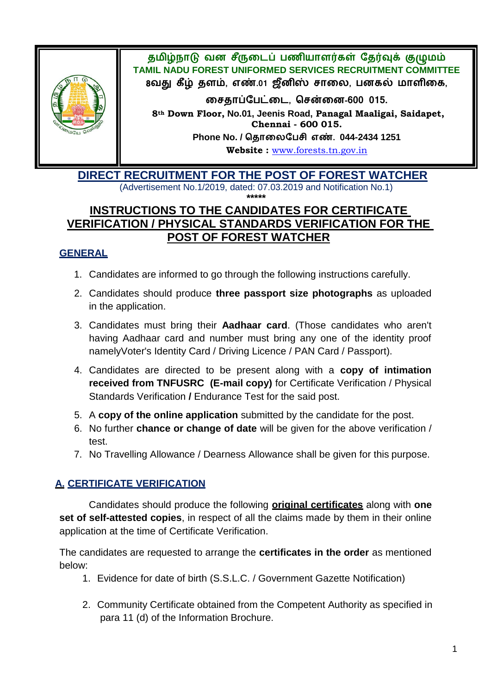

தமிழ்நாடு வன சீருடைப் பணியாளர்கள் தேர்வுக் குழுமம் **TAMIL NADU FOREST UNIFORMED SERVICES RECRUITMENT COMMITTEE** 8வது கீழ் தளம், எண்.01 ஜீனிஸ் சாலை, பனகல் மாளிகை,

 **, ன-600 015.**

**8th Down Floor, No.01, Jeenis Road, Panagal Maaligai, Saidapet, Chennai - 600 015. Phone No. / . 044-2434 1251**

**Website :** [www.forests.tn.gov.in](http://www.forests.tn.gov.in/)

 **DIRECT RECRUITMENT FOR THE POST OF FOREST WATCHER** (Advertisement No.1/2019, dated: 07.03.2019 and Notification No.1)

## **\*\*\*\*\* INSTRUCTIONS TO THE CANDIDATES FOR CERTIFICATE VERIFICATION / PHYSICAL STANDARDS VERIFICATION FOR THE POST OF FOREST WATCHER**

## **GENERAL**

- 1. Candidates are informed to go through the following instructions carefully.
- 2. Candidates should produce **three passport size photographs** as uploaded in the application.
- 3. Candidates must bring their **Aadhaar card**. (Those candidates who aren't having Aadhaar card and number must bring any one of the identity proof namelyVoter's Identity Card / Driving Licence / PAN Card / Passport).
- 4. Candidates are directed to be present along with a **copy of intimation received from TNFUSRC (E-mail copy)** for Certificate Verification / Physical Standards Verification **/** Endurance Test for the said post.
- 5. A **copy of the online application** submitted by the candidate for the post.
- 6. No further **chance or change of date** will be given for the above verification / test.
- 7. No Travelling Allowance / Dearness Allowance shall be given for this purpose.

## **A. CERTIFICATE VERIFICATION**

Candidates should produce the following **original certificates** along with **one set of self-attested copies**, in respect of all the claims made by them in their online application at the time of Certificate Verification.

The candidates are requested to arrange the **certificates in the order** as mentioned below:

- 1. Evidence for date of birth (S.S.L.C. / Government Gazette Notification)
- 2. Community Certificate obtained from the Competent Authority as specified in para 11 (d) of the Information Brochure.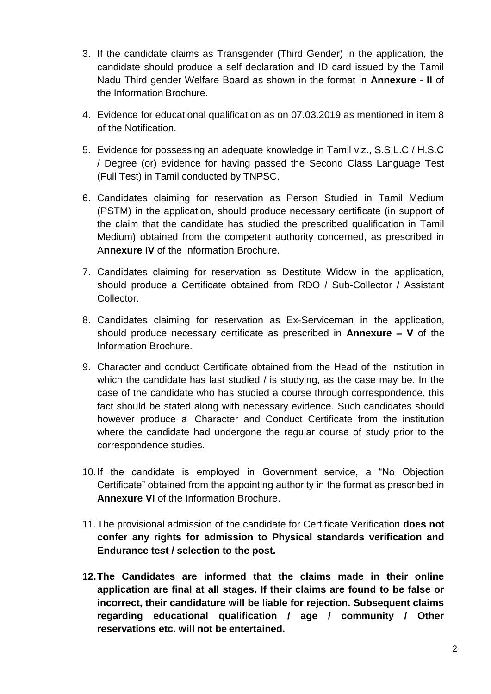- 3. If the candidate claims as Transgender (Third Gender) in the application, the candidate should produce a self declaration and ID card issued by the Tamil Nadu Third gender Welfare Board as shown in the format in **Annexure - II** of the Information Brochure.
- 4. Evidence for educational qualification as on 07.03.2019 as mentioned in item 8 of the Notification.
- 5. Evidence for possessing an adequate knowledge in Tamil viz., S.S.L.C / H.S.C / Degree (or) evidence for having passed the Second Class Language Test (Full Test) in Tamil conducted by TNPSC.
- 6. Candidates claiming for reservation as Person Studied in Tamil Medium (PSTM) in the application, should produce necessary certificate (in support of the claim that the candidate has studied the prescribed qualification in Tamil Medium) obtained from the competent authority concerned, as prescribed in A**nnexure IV** of the Information Brochure.
- 7. Candidates claiming for reservation as Destitute Widow in the application, should produce a Certificate obtained from RDO / Sub-Collector / Assistant Collector.
- 8. Candidates claiming for reservation as Ex-Serviceman in the application, should produce necessary certificate as prescribed in **Annexure – V** of the Information Brochure.
- 9. Character and conduct Certificate obtained from the Head of the Institution in which the candidate has last studied / is studying, as the case may be. In the case of the candidate who has studied a course through correspondence, this fact should be stated along with necessary evidence. Such candidates should however produce a Character and Conduct Certificate from the institution where the candidate had undergone the regular course of study prior to the correspondence studies.
- 10.If the candidate is employed in Government service, a "No Objection Certificate" obtained from the appointing authority in the format as prescribed in **Annexure VI** of the Information Brochure.
- 11.The provisional admission of the candidate for Certificate Verification **does not confer any rights for admission to Physical standards verification and Endurance test / selection to the post.**
- **12.The Candidates are informed that the claims made in their online application are final at all stages. If their claims are found to be false or incorrect, their candidature will be liable for rejection. Subsequent claims regarding educational qualification / age / community / Other reservations etc. will not be entertained.**